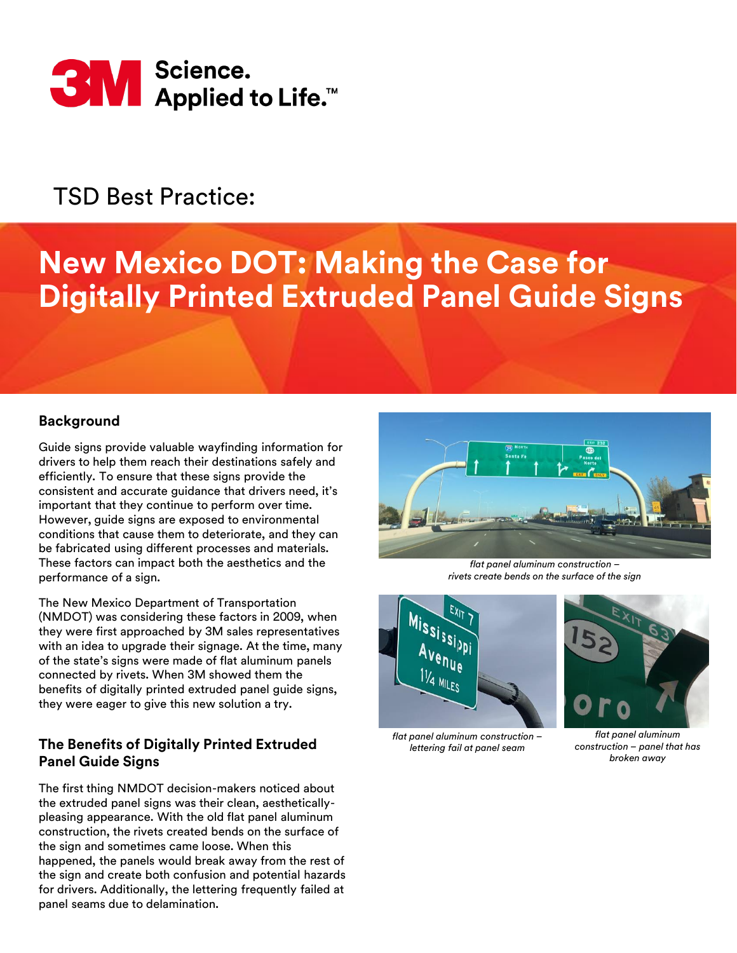

# TSD Best Practice:

# **New Mexico DOT: Making the Case for Digitally Printed Extruded Panel Guide Signs**

#### **Background**

Guide signs provide valuable wayfinding information for drivers to help them reach their destinations safely and efficiently. To ensure that these signs provide the consistent and accurate guidance that drivers need, it's important that they continue to perform over time. However, guide signs are exposed to environmental conditions that cause them to deteriorate, and they can be fabricated using different processes and materials. These factors can impact both the aesthetics and the performance of a sign.

The New Mexico Department of Transportation (NMDOT) was considering these factors in 2009, when they were first approached by 3M sales representatives with an idea to upgrade their signage. At the time, many of the state's signs were made of flat aluminum panels connected by rivets. When 3M showed them the benefits of digitally printed extruded panel guide signs, they were eager to give this new solution a try.

## **The Benefits of Digitally Printed Extruded Panel Guide Signs**

The first thing NMDOT decision-makers noticed about the extruded panel signs was their clean, aestheticallypleasing appearance. With the old flat panel aluminum construction, the rivets created bends on the surface of the sign and sometimes came loose. When this happened, the panels would break away from the rest of the sign and create both confusion and potential hazards for drivers. Additionally, the lettering frequently failed at panel seams due to delamination.



*flat panel aluminum construction – rivets create bends on the surface of the sign*



*flat panel aluminum construction – lettering fail at panel seam*



*flat panel aluminum construction – panel that has broken away*